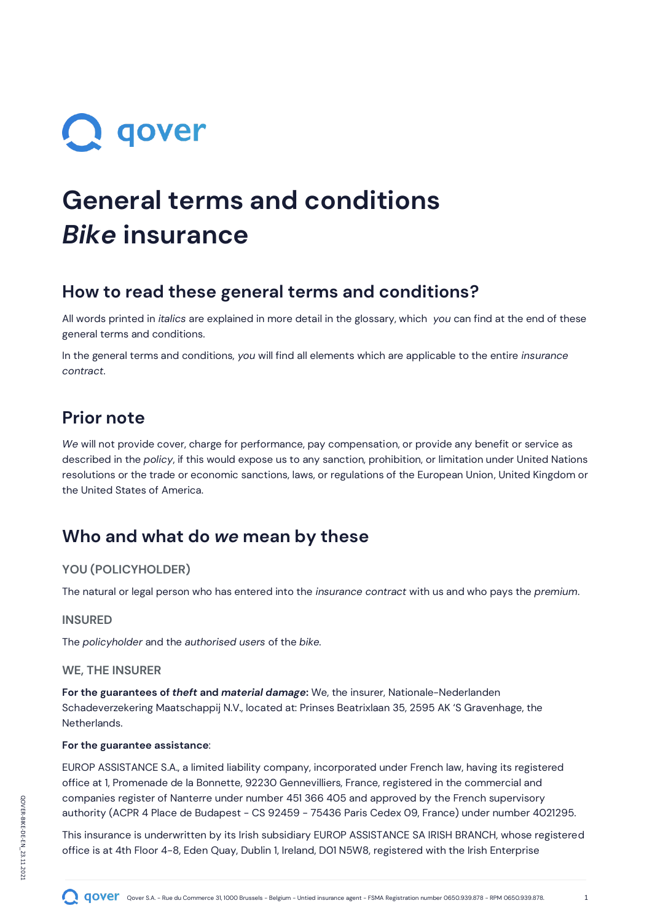# **Q** qover

## **General terms and conditions** *Bike* **insurance**

### **How to read these general terms and conditions?**

All words printed in *italics* are explained in more detail in the glossary, which *you* can find at the end of these general terms and conditions.

In the general terms and conditions, *you* will find all elements which are applicable to the entire *insurance contract*.

### **Prior note**

*We* will not provide cover, charge for performance, pay compensation, or provide any benefit or service as described in the *policy*, if this would expose us to any sanction, prohibition, or limitation under United Nations resolutions or the trade or economic sanctions, laws, or regulations of the European Union, United Kingdom or the United States of America.

### **Who and what do** *we* **mean by these**

#### **YOU (POLICYHOLDER)**

The natural or legal person who has entered into the *insurance contract* with us and who pays the *premium*.

#### **INSURED**

The *policyholder* and the *authorised users* of the *bike.*

#### **WE, THE INSURER**

**For the guarantees of** *theft* **and** *material damage***:** We, the insurer, Nationale-Nederlanden Schadeverzekering Maatschappij N.V., located at: Prinses Beatrixlaan 35, 2595 AK 'S Gravenhage, the Netherlands.

#### **For the guarantee assistance**:

EUROP ASSISTANCE S.A., a limited liability company, incorporated under French law, having its registered office at 1, Promenade de la Bonnette, 92230 Gennevilliers, France, registered in the commercial and companies register of Nanterre under number 451 366 405 and approved by the French supervisory authority (ACPR 4 Place de Budapest - CS 92459 - 75436 Paris Cedex 09, France) under number 4021295.

This insurance is underwritten by its Irish subsidiary EUROP ASSISTANCE SA IRISH BRANCH, whose registered office is at 4th Floor 4-8, Eden Quay, Dublin 1, Ireland, D01 N5W8, registered with the Irish Enterprise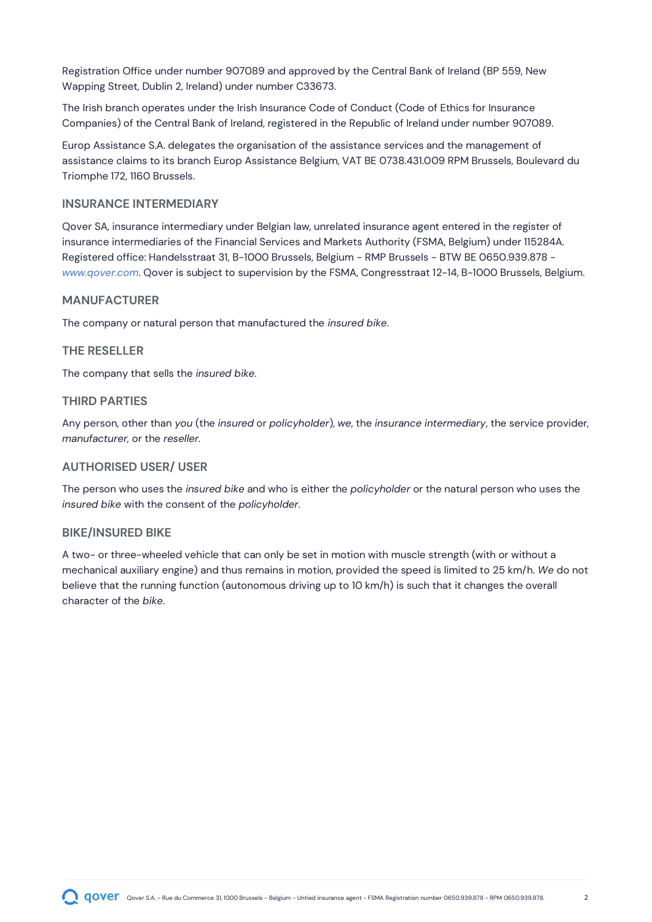Registration Office under number 907089 and approved by the Central Bank of Ireland (BP 559, New Wapping Street, Dublin 2, Ireland) under number C33673.

The Irish branch operates under the Irish Insurance Code of Conduct (Code of Ethics for Insurance Companies) of the Central Bank of Ireland, registered in the Republic of Ireland under number 907089.

Europ Assistance S.A. delegates the organisation of the assistance services and the management of assistance claims to its branch Europ Assistance Belgium, VAT BE 0738.431.009 RPM Brussels, Boulevard du Triomphe 172, 1160 Brussels.

#### **INSURANCE INTERMEDIARY**

Qover SA, insurance intermediary under Belgian law, unrelated insurance agent entered in the register of insurance intermediaries of the Financial Services and Markets Authority (FSMA, Belgium) under 115284A. Registered office: Handelsstraat 31, B-1000 Brussels, Belgium - RMP Brussels - BTW BE 0650.939.878 *[www.qover.com](http://www.qover.com/)*. Qover is subject to supervision by the FSMA, Congresstraat 12-14, B-1000 Brussels, Belgium.

#### **MANUFACTURER**

The company or natural person that manufactured the *insured bike*.

#### **THE RESELLER**

The company that sells the *insured bike*.

#### **THIRD PARTIES**

Any person, other than *you* (the *insured* or *policyholder*), *we*, the *insurance intermediary*, the service provider, *manufacturer,* or the *reseller.*

#### **AUTHORISED USER/ USER**

The person who uses the *insured bike* and who is either the *policyholder* or the natural person who uses the *insured bike* with the consent of the *policyholder*.

#### **BIKE/INSURED BIKE**

A two- or three-wheeled vehicle that can only be set in motion with muscle strength (with or without a mechanical auxiliary engine) and thus remains in motion, provided the speed is limited to 25 km/h. *We* do not believe that the running function (autonomous driving up to 10 km/h) is such that it changes the overall character of the *bike*.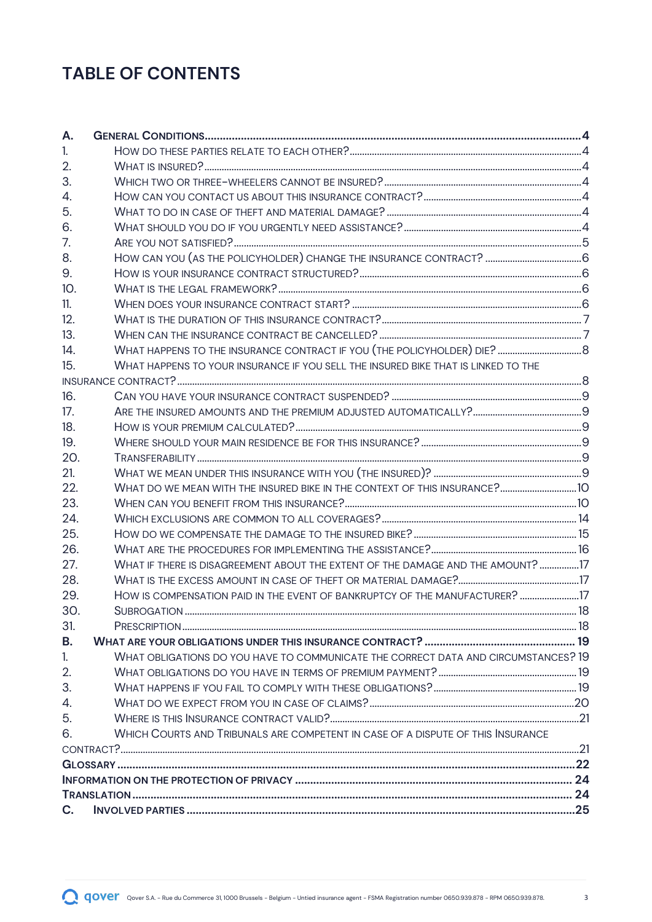### **TABLE OF CONTENTS**

| А.             |                                                                                    |  |  |
|----------------|------------------------------------------------------------------------------------|--|--|
| 1 <sub>1</sub> |                                                                                    |  |  |
| 2.             |                                                                                    |  |  |
| 3.             |                                                                                    |  |  |
| 4.             |                                                                                    |  |  |
| 5.             |                                                                                    |  |  |
| 6.             |                                                                                    |  |  |
| 7.             |                                                                                    |  |  |
| 8.             |                                                                                    |  |  |
| 9.             |                                                                                    |  |  |
| 10.            |                                                                                    |  |  |
| 11.            |                                                                                    |  |  |
| 12.            |                                                                                    |  |  |
| 13.            |                                                                                    |  |  |
| 14.            |                                                                                    |  |  |
| 15.            | WHAT HAPPENS TO YOUR INSURANCE IF YOU SELL THE INSURED BIKE THAT IS LINKED TO THE  |  |  |
|                |                                                                                    |  |  |
| 16.            |                                                                                    |  |  |
| 17.            |                                                                                    |  |  |
| 18.            |                                                                                    |  |  |
| 19.            |                                                                                    |  |  |
| 20.            |                                                                                    |  |  |
| 21.            |                                                                                    |  |  |
| 22.            |                                                                                    |  |  |
| 23.            |                                                                                    |  |  |
| 24.            |                                                                                    |  |  |
| 25.            |                                                                                    |  |  |
| 26.            |                                                                                    |  |  |
| 27.            | WHAT IF THERE IS DISAGREEMENT ABOUT THE EXTENT OF THE DAMAGE AND THE AMOUNT? 17    |  |  |
| 28.            |                                                                                    |  |  |
| 29.            | HOW IS COMPENSATION PAID IN THE EVENT OF BANKRUPTCY OF THE MANUFACTURER? 17        |  |  |
| 30.            |                                                                                    |  |  |
| 31.            |                                                                                    |  |  |
| В.             |                                                                                    |  |  |
| 1 <sub>1</sub> | WHAT OBLIGATIONS DO YOU HAVE TO COMMUNICATE THE CORRECT DATA AND CIRCUMSTANCES? 19 |  |  |
| 2.             |                                                                                    |  |  |
| 3.             |                                                                                    |  |  |
| 4.             |                                                                                    |  |  |
| 5.             |                                                                                    |  |  |
| 6.             | WHICH COURTS AND TRIBUNALS ARE COMPETENT IN CASE OF A DISPUTE OF THIS INSURANCE    |  |  |
|                |                                                                                    |  |  |
|                |                                                                                    |  |  |
|                |                                                                                    |  |  |
|                |                                                                                    |  |  |
| C.             |                                                                                    |  |  |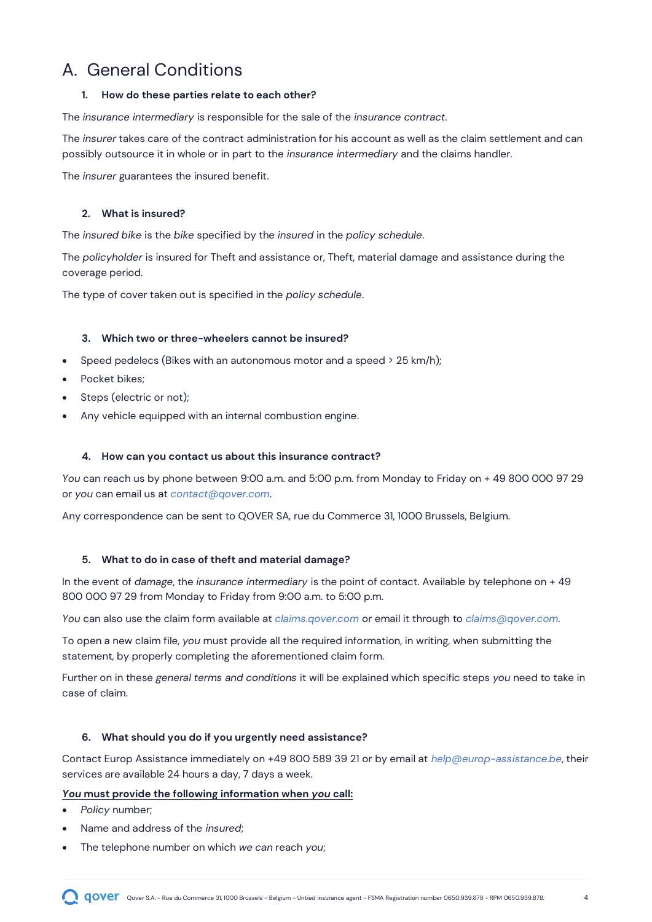### <span id="page-3-0"></span>A. General Conditions

#### <span id="page-3-1"></span>**1. How do these parties relate to each other?**

The *insurance intermediary* is responsible for the sale of the *insurance contract*.

The *insurer* takes care of the contract administration for his account as well as the claim settlement and can possibly outsource it in whole or in part to the *insurance intermediary* and the claims handler.

The *insurer* guarantees the insured benefit.

#### <span id="page-3-2"></span>**2. What is insured?**

The *insured bike* is the *bike* specified by the *insured* in the *policy schedule*.

The *policyholder* is insured for Theft and assistance or, Theft, material damage and assistance during the coverage period.

The type of cover taken out is specified in the *policy schedule*.

#### **3. Which two or three-wheelers cannot be insured?**

- <span id="page-3-3"></span>• Speed pedelecs (Bikes with an autonomous motor and a speed  $>$  25 km/h);
- Pocket bikes;
- Steps (electric or not);
- Any vehicle equipped with an internal combustion engine.

#### <span id="page-3-4"></span>**4. How can you contact us about this insurance contract?**

*You* can reach us by phone between 9:00 a.m. and 5:00 p.m. from Monday to Friday on + 49 800 000 97 29 or *you* can email us at *[contact@qover.com](mailto:contact@qoverme.com)*.

Any correspondence can be sent to QOVER SA, rue du Commerce 31, 1000 Brussels, Belgium.

#### <span id="page-3-5"></span>**5. What to do in case of theft and material damage?**

In the event of *damage*, the *insurance intermediary* is the point of contact. Available by telephone on + 49 800 000 97 29 from Monday to Friday from 9:00 a.m. to 5:00 p.m.

*You* can also use the claim form available at *[claims.qover.com](https://claims-qover.paperform.co/)* or email it through to *[claims@qover.com](mailto:claims@qoverme.com)*.

To open a new claim file, *you* must provide all the required information, in writing, when submitting the statement, by properly completing the aforementioned claim form.

Further on in these *general terms and conditions* it will be explained which specific steps *you* need to take in case of claim.

#### <span id="page-3-6"></span>**6. What should you do if you urgently need assistance?**

Contact Europ Assistance immediately on +49 800 589 39 21 or by email at *[help@europ-assistance.be](mailto:help@europ-assistance.be)*, their services are available 24 hours a day, 7 days a week.

#### *You* **must provide the following information when** *you* **call:**

- *Policy* number;
- Name and address of the *insured*;
- The telephone number on which *we can* reach *you*;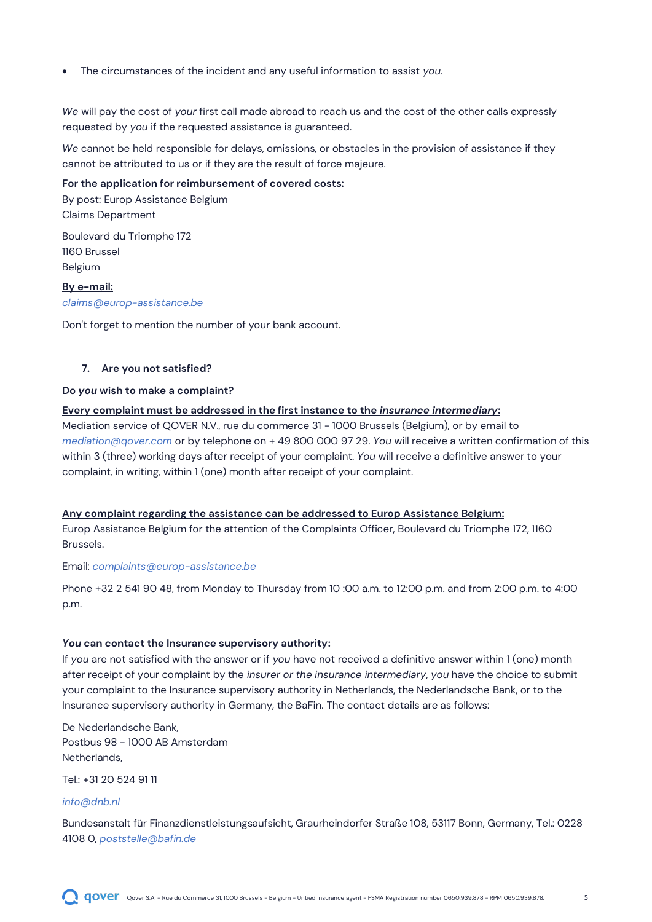• The circumstances of the incident and any useful information to assist *you*.

*We* will pay the cost of *your* first call made abroad to reach us and the cost of the other calls expressly requested by *you* if the requested assistance is guaranteed.

*We* cannot be held responsible for delays, omissions, or obstacles in the provision of assistance if they cannot be attributed to us or if they are the result of force majeure.

#### **For the application for reimbursement of covered costs:**

By post: Europ Assistance Belgium Claims Department

Boulevard du Triomphe 172 1160 Brussel Belgium

**By e-mail:** *claims@europ-assistance.be*

Don't forget to mention the number of your bank account.

#### <span id="page-4-0"></span>**7. Are you not satisfied?**

#### **Do** *you* **wish to make a complaint?**

#### **Every complaint must be addressed in the first instance to the** *insurance intermediary***:**

Mediation service of QOVER N.V., rue du commerce 31 - 1000 Brussels (Belgium), or by email to *mediation@qover.com* or by telephone on + 49 800 000 97 29. *You* will receive a written confirmation of this within 3 (three) working days after receipt of your complaint. *You* will receive a definitive answer to your complaint, in writing, within 1 (one) month after receipt of your complaint.

#### **Any complaint regarding the assistance can be addressed to Europ Assistance Belgium:**

Europ Assistance Belgium for the attention of the Complaints Officer, Boulevard du Triomphe 172, 1160 Brussels.

#### Email: *complaints@europ-assistance.be*

Phone +32 2 541 90 48, from Monday to Thursday from 10 :00 a.m. to 12:00 p.m. and from 2:00 p.m. to 4:00 p.m.

#### *You* **can contact the Insurance supervisory authority:**

If *you* are not satisfied with the answer or if *you* have not received a definitive answer within 1 (one) month after receipt of your complaint by the *insurer or the insurance intermediary*, *you* have the choice to submit your complaint to the Insurance supervisory authority in Netherlands, the Nederlandsche Bank, or to the Insurance supervisory authority in Germany, the BaFin. The contact details are as follows:

De Nederlandsche Bank, Postbus 98 - 1000 AB Amsterdam Netherlands,

Tel.: +31 20 524 91 11

#### *info@dnb.nl*

Bundesanstalt für Finanzdienstleistungsaufsicht, Graurheindorfer Straße 108, 53117 Bonn, Germany, Tel.: 0228 4108 0, *[poststelle@bafin.de](mailto:poststelle@bafin.de)*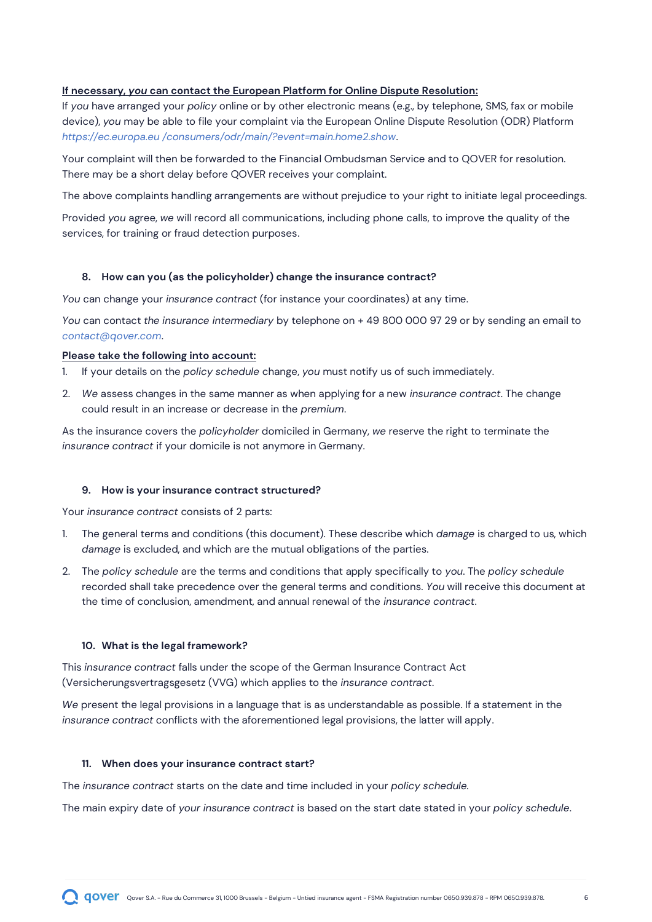#### **If necessary,** *you* **can contact the European Platform for Online Dispute Resolution:**

If *you* have arranged your *policy* online or by other electronic means (e.g., by telephone, SMS, fax or mobile device), *you* may be able to file your complaint via the European Online Dispute Resolution (ODR) Platform *[https://ec.europa.eu /consumers/odr/main/?event=main.home2.show](https://ec.europa.eu/consumers/odr/main/?event=main.home2.show)*.

Your complaint will then be forwarded to the Financial Ombudsman Service and to QOVER for resolution. There may be a short delay before QOVER receives your complaint.

The above complaints handling arrangements are without prejudice to your right to initiate legal proceedings.

Provided *you* agree, *we* will record all communications, including phone calls, to improve the quality of the services, for training or fraud detection purposes.

#### <span id="page-5-0"></span>**8. How can you (as the policyholder) change the insurance contract?**

*You* can change your *insurance contract* (for instance your coordinates) at any time.

*You* can contact *the insurance intermediary* by telephone on + 49 800 000 97 29 or by sending an email to *contact@qover.com*.

#### **Please take the following into account:**

- 1. If your details on the *policy schedule* change, *you* must notify us of such immediately.
- 2. *We* assess changes in the same manner as when applying for a new *insurance contract*. The change could result in an increase or decrease in the *premium*.

As the insurance covers the *policyholder* domiciled in Germany, *we* reserve the right to terminate the *insurance contract* if your domicile is not anymore in Germany.

#### <span id="page-5-1"></span>**9. How is your insurance contract structured?**

Your *insurance contract* consists of 2 parts:

- 1. The general terms and conditions (this document). These describe which *damage* is charged to us, which *damage* is excluded, and which are the mutual obligations of the parties.
- 2. The *policy schedule* are the terms and conditions that apply specifically to *you*. The *policy schedule* recorded shall take precedence over the general terms and conditions. *You* will receive this document at the time of conclusion, amendment, and annual renewal of the *insurance contract*.

#### <span id="page-5-2"></span>**10. What is the legal framework?**

This *insurance contract* falls under the scope of the German Insurance Contract Act (Versicherungsvertragsgesetz (VVG) which applies to the *insurance contract*.

*We* present the legal provisions in a language that is as understandable as possible. If a statement in the *insurance contract* conflicts with the aforementioned legal provisions, the latter will apply.

#### <span id="page-5-3"></span>**11. When does your insurance contract start?**

The *insurance contract* starts on the date and time included in your *policy schedule.*

The main expiry date of *your insurance contract* is based on the start date stated in your *policy schedule*.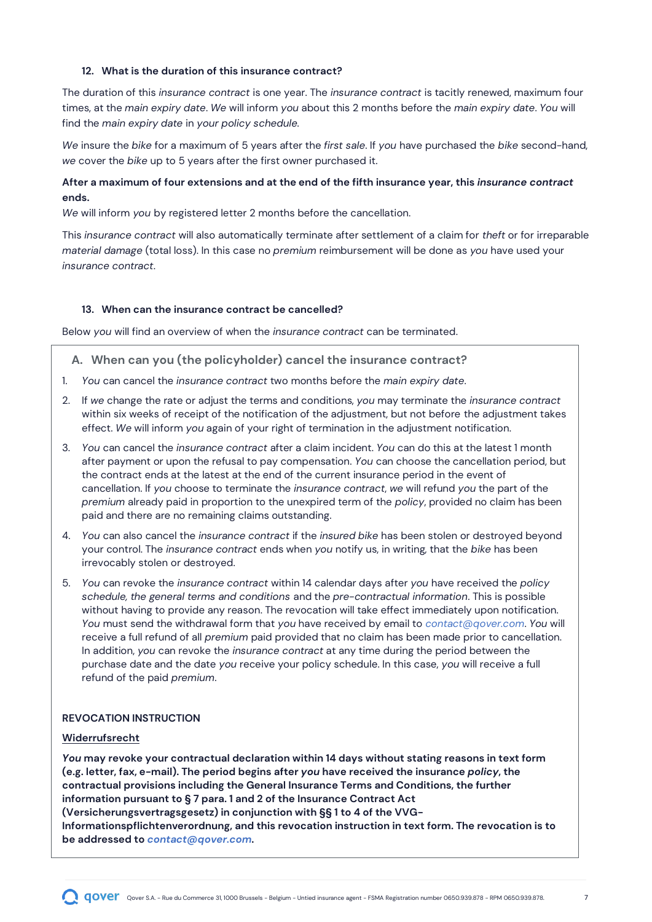#### <span id="page-6-0"></span>**12. What is the duration of this insurance contract?**

The duration of this *insurance contract* is one year. The *insurance contract* is tacitly renewed, maximum four times, at the *main expiry date*. *We* will inform *you* about this 2 months before the *main expiry date*. *You* will find the *main expiry date* in *your policy schedule.*

*We* insure the *bike* for a maximum of 5 years after the *first sale*. If *you* have purchased the *bike* second-hand, *we* cover the *bike* up to 5 years after the first owner purchased it.

#### **After a maximum of four extensions and at the end of the fifth insurance year, this** *insurance contract* **ends.**

*We* will inform *you* by registered letter 2 months before the cancellation.

This *insurance contract* will also automatically terminate after settlement of a claim for *theft* or for irreparable *material damage* (total loss). In this case no *premium* reimbursement will be done as *you* have used your *insurance contract*.

#### <span id="page-6-1"></span>**13. When can the insurance contract be cancelled?**

Below *you* will find an overview of when the *insurance contract* can be terminated.

#### **A. When can you (the policyholder) cancel the insurance contract?**

- 1. *You* can cancel the *insurance contract* two months before the *main expiry date*.
- 2. If *we* change the rate or adjust the terms and conditions, *you* may terminate the *insurance contract* within six weeks of receipt of the notification of the adjustment, but not before the adjustment takes effect. *We* will inform *you* again of your right of termination in the adjustment notification.
- 3. *You* can cancel the *insurance contract* after a claim incident. *You* can do this at the latest 1 month after payment or upon the refusal to pay compensation. *You* can choose the cancellation period, but the contract ends at the latest at the end of the current insurance period in the event of cancellation. If *you* choose to terminate the *insurance contract*, *we* will refund *you* the part of the *premium* already paid in proportion to the unexpired term of the *policy*, provided no claim has been paid and there are no remaining claims outstanding.
- 4. *You* can also cancel the *insurance contract* if the *insured bike* has been stolen or destroyed beyond your control. The *insurance contract* ends when *you* notify us, in writing, that the *bike* has been irrevocably stolen or destroyed.
- 5. *You* can revoke the *insurance contract* within 14 calendar days after *you* have received the *policy schedule, the general terms and conditions* and the *pre-contractual information*. This is possible without having to provide any reason. The revocation will take effect immediately upon notification. *You* must send the withdrawal form that *you* have received by email to *[contact@qover.com](mailto:contact@qoverme.com)*. *You* will receive a full refund of all *premium* paid provided that no claim has been made prior to cancellation. In addition, *you* can revoke the *insurance contract* at any time during the period between the purchase date and the date *you* receive your policy schedule. In this case, *you* will receive a full refund of the paid *premium*.

#### **REVOCATION INSTRUCTION**

#### **Widerrufsrecht**

*You* **may revoke your contractual declaration within 14 days without stating reasons in text form (e.g. letter, fax, e-mail). The period begins after** *you* **have received the insurance** *policy***, the contractual provisions including the General Insurance Terms and Conditions, the further information pursuant to § 7 para. 1 and 2 of the Insurance Contract Act (Versicherungsvertragsgesetz) in conjunction with §§ 1 to 4 of the VVG-Informationspflichtenverordnung, and this revocation instruction in text form. The revocation is to be addressed to** *[contact@qover.com](mailto:contact@qoverme.com)***.**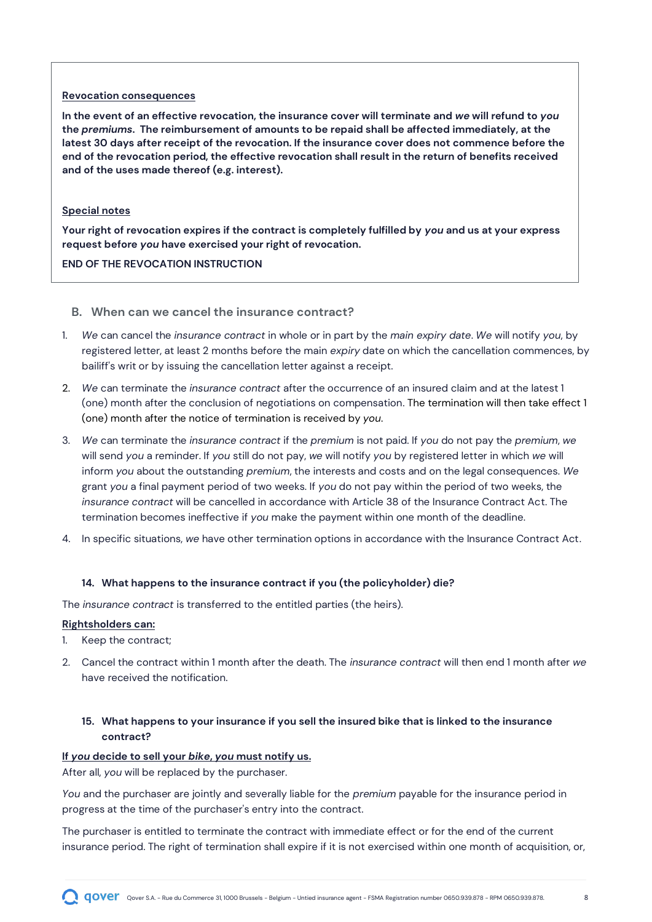#### **Revocation consequences**

**In the event of an effective revocation, the insurance cover will terminate and** *we* **will refund to** *you* **the** *premiums***. The reimbursement of amounts to be repaid shall be affected immediately, at the latest 30 days after receipt of the revocation. If the insurance cover does not commence before the end of the revocation period, the effective revocation shall result in the return of benefits received and of the uses made thereof (e.g. interest).**

#### **Special notes**

**Your right of revocation expires if the contract is completely fulfilled by** *you* **and us at your express request before** *you* **have exercised your right of revocation.**

#### **END OF THE REVOCATION INSTRUCTION**

#### **B. When can we cancel the insurance contract?**

- 1. *We* can cancel the *insurance contract* in whole or in part by the *main expiry date*. *We* will notify *you*, by registered letter, at least 2 months before the main *expiry* date on which the cancellation commences, by bailiff's writ or by issuing the cancellation letter against a receipt.
- 2. *We* can terminate the *insurance contract* after the occurrence of an insured claim and at the latest 1 (one) month after the conclusion of negotiations on compensation. The termination will then take effect 1 (one) month after the notice of termination is received by *you*.
- 3. *We* can terminate the *insurance contract* if the *premium* is not paid. If *you* do not pay the *premium*, *we* will send *you* a reminder. If *you* still do not pay, *we* will notify *you* by registered letter in which *we* will inform *you* about the outstanding *premium*, the interests and costs and on the legal consequences. *We* grant *you* a final payment period of two weeks. If *you* do not pay within the period of two weeks, the *insurance contract* will be cancelled in accordance with Article 38 of the Insurance Contract Act. The termination becomes ineffective if *you* make the payment within one month of the deadline.
- 4. In specific situations, *we* have other termination options in accordance with the Insurance Contract Act.

#### <span id="page-7-0"></span>**14. What happens to the insurance contract if you (the policyholder) die?**

The *insurance contract* is transferred to the entitled parties (the heirs).

#### **Rightsholders can:**

- 1. Keep the contract;
- 2. Cancel the contract within 1 month after the death. The *insurance contract* will then end 1 month after *we* have received the notification.

#### <span id="page-7-1"></span>**15. What happens to your insurance if you sell the insured bike that is linked to the insurance contract?**

#### **If** *you* **decide to sell your** *bike***,** *you* **must notify us.**

After all, *you* will be replaced by the purchaser.

*You* and the purchaser are jointly and severally liable for the *premium* payable for the insurance period in progress at the time of the purchaser's entry into the contract.

The purchaser is entitled to terminate the contract with immediate effect or for the end of the current insurance period. The right of termination shall expire if it is not exercised within one month of acquisition, or,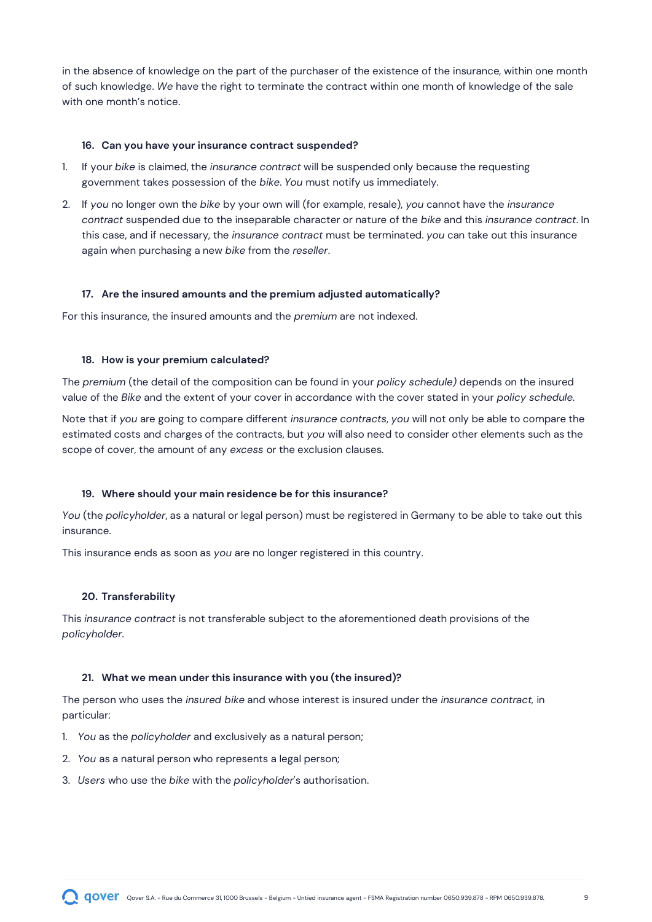in the absence of knowledge on the part of the purchaser of the existence of the insurance, within one month of such knowledge. *We* have the right to terminate the contract within one month of knowledge of the sale with one month's notice.

#### <span id="page-8-0"></span>**16. Can you have your insurance contract suspended?**

- 1. If your *bike* is claimed, the *insurance contract* will be suspended only because the requesting government takes possession of the *bike*. *You* must notify us immediately.
- 2. If *you* no longer own the *bike* by your own will (for example, resale), *you* cannot have the *insurance contract* suspended due to the inseparable character or nature of the *bike* and this *insurance contract*. In this case, and if necessary, the *insurance contract* must be terminated. *you* can take out this insurance again when purchasing a new *bike* from the *reseller*.

#### <span id="page-8-1"></span>**17. Are the insured amounts and the premium adjusted automatically?**

For this insurance, the insured amounts and the *premium* are not indexed.

#### <span id="page-8-2"></span>**18. How is your premium calculated?**

The *premium* (the detail of the composition can be found in your *policy schedule)* depends on the insured value of the *Bike* and the extent of your cover in accordance with the cover stated in your *policy schedule.*

Note that if *you* are going to compare different *insurance contracts*, *you* will not only be able to compare the estimated costs and charges of the contracts, but *you* will also need to consider other elements such as the scope of cover, the amount of any *excess* or the exclusion clauses*.*

#### <span id="page-8-3"></span>**19. Where should your main residence be for this insurance?**

*You* (the *policyholder*, as a natural or legal person) must be registered in Germany to be able to take out this insurance.

This insurance ends as soon as *you* are no longer registered in this country.

#### <span id="page-8-4"></span>**20. Transferability**

This *insurance contract* is not transferable subject to the aforementioned death provisions of the *policyholder*.

#### <span id="page-8-5"></span>**21. What we mean under this insurance with you (the insured)?**

The person who uses the *insured bike* and whose interest is insured under the *insurance contract,* in particular:

- 1. *You* as the *policyholder* and exclusively as a natural person;
- 2. *You* as a natural person who represents a legal person;
- 3. *Users* who use the *bike* with the *policyholder*'s authorisation.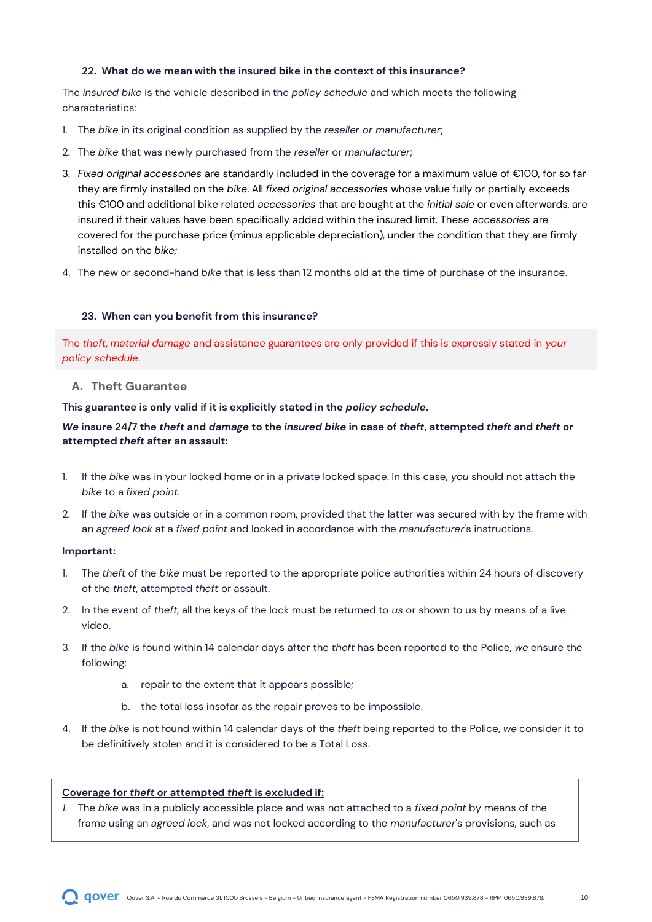#### <span id="page-9-0"></span>**22. What do we mean with the insured bike in the context of this insurance?**

The *insured bike* is the vehicle described in the *policy schedule* and which meets the following characteristics:

- 1. The *bike* in its original condition as supplied by the *reseller or manufacturer*;
- 2. The *bike* that was newly purchased from the *reseller* or *manufacturer*;
- 3. *Fixed original accessories* are standardly included in the coverage for a maximum value of €100, for so far they are firmly installed on the *bike*. All *fixed original accessories* whose value fully or partially exceeds this €100 and additional bike related *accessories* that are bought at the *initial sale* or even afterwards, are insured if their values have been specifically added within the insured limit. These *accessories* are covered for the purchase price (minus applicable depreciation), under the condition that they are firmly installed on the *bike;*
- 4. The new or second-hand *bike* that is less than 12 months old at the time of purchase of the insurance.

#### <span id="page-9-1"></span>**23. When can you benefit from this insurance?**

The *theft*, *material damage* and assistance guarantees are only provided if this is expressly stated in *your policy schedule*.

#### **A. Theft Guarantee**

**This guarantee is only valid if it is explicitly stated in the** *policy schedule***.**

#### *We* **insure 24/7 the** *theft* **and** *damage* **to the** *insured bike* **in case of** *theft***, attempted** *theft* **and** *theft* **or attempted** *theft* **after an assault:**

- 1. If the *bike* was in your locked home or in a private locked space. In this case, *you* should not attach the *bike* to a *fixed point*.
- 2. If the *bike* was outside or in a common room, provided that the latter was secured with by the frame with an *agreed lock* at a *fixed point* and locked in accordance with the *manufacturer*'s instructions.

#### **Important:**

- 1. The *theft* of the *bike* must be reported to the appropriate police authorities within 24 hours of discovery of the *theft*, attempted *theft* or assault.
- 2. In the event of *theft*, all the keys of the lock must be returned to *us* or shown to us by means of a live video.
- 3. If the *bike* is found within 14 calendar days after the *theft* has been reported to the Police, *we* ensure the following:
	- a. repair to the extent that it appears possible;
	- b. the total loss insofar as the repair proves to be impossible.
- 4. If the *bike* is not found within 14 calendar days of the *theft* being reported to the Police, *we* consider it to be definitively stolen and it is considered to be a Total Loss.

#### **Coverage for** *theft* **or attempted** *theft* **is excluded if:**

*1.* The *bike* was in a publicly accessible place and was not attached to a *fixed point* by means of the frame using an *agreed lock*, and was not locked according to the *manufacturer*'s provisions, such as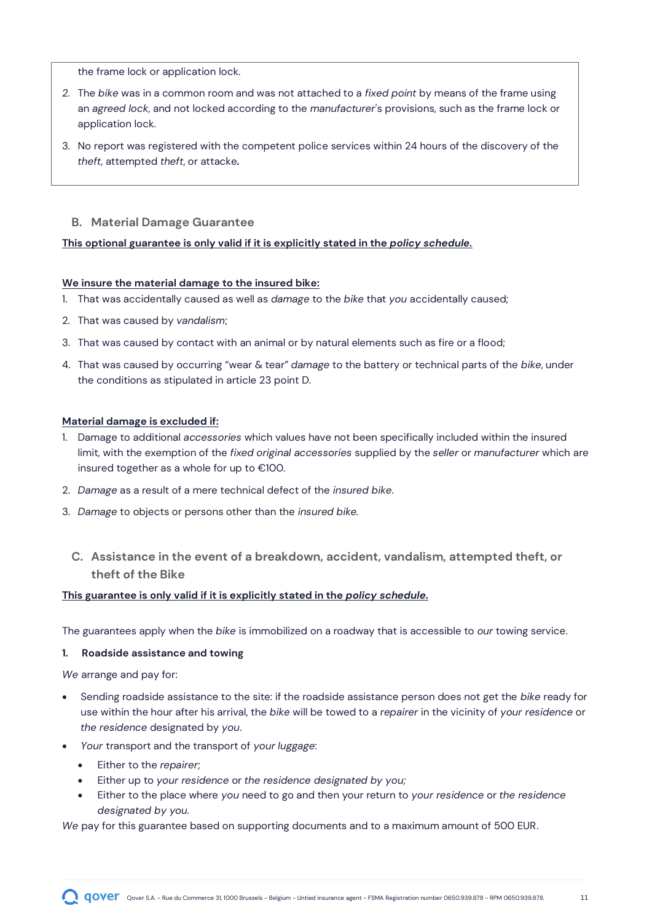the frame lock or application lock.

- *2.* The *bike* was in a common room and was not attached to a *fixed point* by means of the frame using an *agreed lock*, and not locked according to the *manufacturer*'s provisions, such as the frame lock or application lock.
- 3. No report was registered with the competent police services within 24 hours of the discovery of the *theft*, attempted *theft*, or attacke*.*

#### **B. Material Damage Guarantee**

#### **This optional guarantee is only valid if it is explicitly stated in the** *policy schedule.*

#### **We insure the material damage to the insured bike:**

- 1. That was accidentally caused as well as *damage* to the *bike* that *you* accidentally caused;
- 2. That was caused by *vandalism*;
- 3. That was caused by contact with an animal or by natural elements such as fire or a flood;
- 4. That was caused by occurring "wear & tear" *damage* to the battery or technical parts of the *bike*, under the conditions as stipulated in article 23 point D.

#### **Material damage is excluded if:**

- 1. Damage to additional *accessories* which values have not been specifically included within the insured limit, with the exemption of the *fixed original accessories* supplied by the *seller* or *manufacturer* which are insured together as a whole for up to €100.
- 2. *Damage* as a result of a mere technical defect of the *insured bike*.
- 3. *Damage* to objects or persons other than the *insured bike.*
	- **C. Assistance in the event of a breakdown, accident, vandalism, attempted theft, or theft of the Bike**

#### **This guarantee is only valid if it is explicitly stated in the** *policy schedule.*

The guarantees apply when the *bike* is immobilized on a roadway that is accessible to *our* towing service.

#### **1. Roadside assistance and towing**

*We* arrange and pay for:

- Sending roadside assistance to the site: if the roadside assistance person does not get the *bike* ready for use within the hour after his arrival, the *bike* will be towed to a *repairer* in the vicinity of *your residence* or *the residence* designated by *you*.
- *Your* transport and the transport of *your luggage*:
	- Either to the *repairer*;
	- Either up to *your residence* or *the residence designated by you;*
	- Either to the place where *you* need to go and then your return to *your residence* or *the residence designated by you.*

*We* pay for this guarantee based on supporting documents and to a maximum amount of 500 EUR.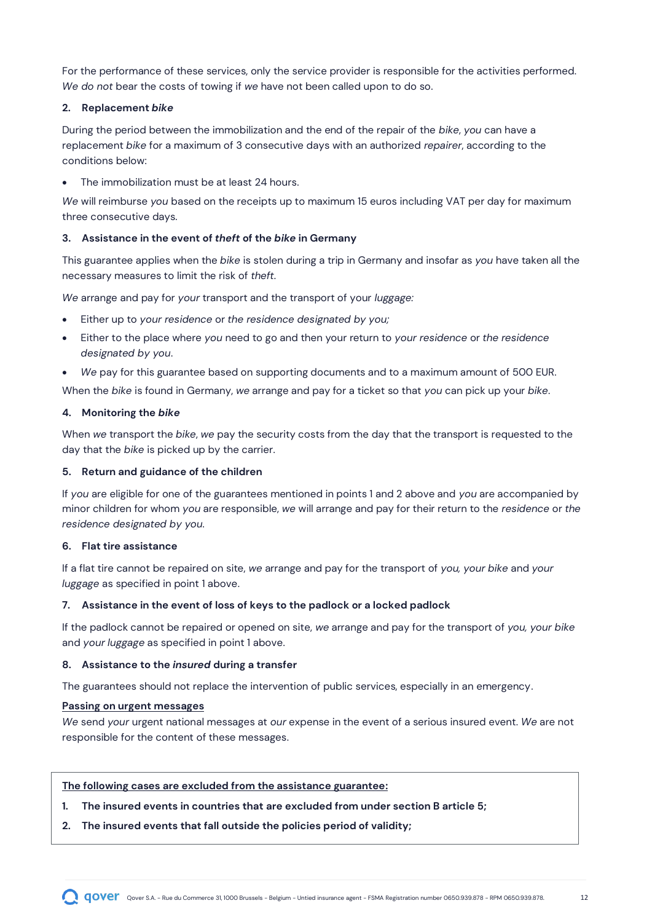For the performance of these services, only the service provider is responsible for the activities performed. *We do not* bear the costs of towing if *we* have not been called upon to do so.

#### **2. Replacement** *bike*

During the period between the immobilization and the end of the repair of the *bike*, *you* can have a replacement *bike* for a maximum of 3 consecutive days with an authorized *repairer*, according to the conditions below:

The immobilization must be at least 24 hours.

*We* will reimburse *you* based on the receipts up to maximum 15 euros including VAT per day for maximum three consecutive days.

#### **3. Assistance in the event of** *theft* **of the** *bike* **in Germany**

This guarantee applies when the *bike* is stolen during a trip in Germany and insofar as *you* have taken all the necessary measures to limit the risk of *theft*.

*We* arrange and pay for *your* transport and the transport of your *luggage:*

- Either up to *your residence* or *the residence designated by you;*
- Either to the place where *you* need to go and then your return to *your residence* or *the residence designated by you*.
- *We* pay for this guarantee based on supporting documents and to a maximum amount of 500 EUR.

When the *bike* is found in Germany, *we* arrange and pay for a ticket so that *you* can pick up your *bike*.

#### **4. Monitoring the** *bike*

When *we* transport the *bike*, *we* pay the security costs from the day that the transport is requested to the day that the *bike* is picked up by the carrier.

#### **5. Return and guidance of the children**

If *you* are eligible for one of the guarantees mentioned in points 1 and 2 above and *you* are accompanied by minor children for whom *you* are responsible, *we* will arrange and pay for their return to the *residence* or *the residence designated by you.*

#### **6. Flat tire assistance**

If a flat tire cannot be repaired on site, *we* arrange and pay for the transport of *you, your bike* and *your luggage* as specified in point 1 above.

#### **7. Assistance in the event of loss of keys to the padlock or a locked padlock**

If the padlock cannot be repaired or opened on site, *we* arrange and pay for the transport of *you, your bike* and *your luggage* as specified in point 1 above.

#### **8. Assistance to the** *insured* **during a transfer**

The guarantees should not replace the intervention of public services, especially in an emergency.

#### **Passing on urgent messages**

*We* send *your* urgent national messages at *our* expense in the event of a serious insured event. *We* are not responsible for the content of these messages.

#### **The following cases are excluded from the assistance guarantee:**

- **1. The insured events in countries that are excluded from under section B article 5;**
- **2. The insured events that fall outside the policies period of validity;**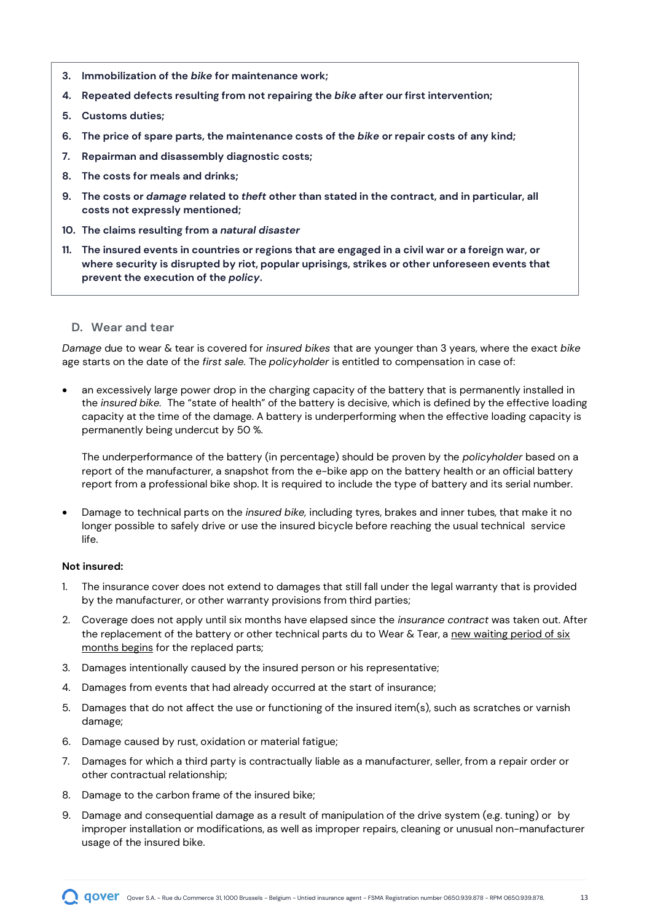- **3. Immobilization of the** *bike* **for maintenance work;**
- **4. Repeated defects resulting from not repairing the** *bike* **after our first intervention;**
- **5. Customs duties;**
- **6. The price of spare parts, the maintenance costs of the** *bike* **or repair costs of any kind;**
- **7. Repairman and disassembly diagnostic costs;**
- **8. The costs for meals and drinks;**
- **9. The costs or** *damage* **related to** *theft* **other than stated in the contract, and in particular, all costs not expressly mentioned;**
- **10. The claims resulting from a** *natural disaster*
- **11. The insured events in countries or regions that are engaged in a civil war or a foreign war, or where security is disrupted by riot, popular uprisings, strikes or other unforeseen events that prevent the execution of the** *policy***.**
	- **D. Wear and tear**

*Damage* due to wear & tear is covered for *insured bikes* that are younger than 3 years, where the exact *bike* age starts on the date of the *first sale.* The *policyholder* is entitled to compensation in case of:

• an excessively large power drop in the charging capacity of the battery that is permanently installed in the *insured bike.* The "state of health" of the battery is decisive, which is defined by the effective loading capacity at the time of the damage. A battery is underperforming when the effective loading capacity is permanently being undercut by 50 %.

The underperformance of the battery (in percentage) should be proven by the *policyholder* based on a report of the manufacturer, a snapshot from the e-bike app on the battery health or an official battery report from a professional bike shop. It is required to include the type of battery and its serial number.

• Damage to technical parts on the *insured bike,* including tyres, brakes and inner tubes, that make it no longer possible to safely drive or use the insured bicycle before reaching the usual technical service life.

#### **Not insured:**

- 1. The insurance cover does not extend to damages that still fall under the legal warranty that is provided by the manufacturer, or other warranty provisions from third parties;
- 2. Coverage does not apply until six months have elapsed since the *insurance contract* was taken out. After the replacement of the battery or other technical parts du to Wear & Tear, a new waiting period of six months begins for the replaced parts;
- 3. Damages intentionally caused by the insured person or his representative;
- 4. Damages from events that had already occurred at the start of insurance;
- 5. Damages that do not affect the use or functioning of the insured item(s), such as scratches or varnish damage;
- 6. Damage caused by rust, oxidation or material fatigue;
- 7. Damages for which a third party is contractually liable as a manufacturer, seller, from a repair order or other contractual relationship;
- 8. Damage to the carbon frame of the insured bike;
- 9. Damage and consequential damage as a result of manipulation of the drive system (e.g. tuning) or by improper installation or modifications, as well as improper repairs, cleaning or unusual non-manufacturer usage of the insured bike.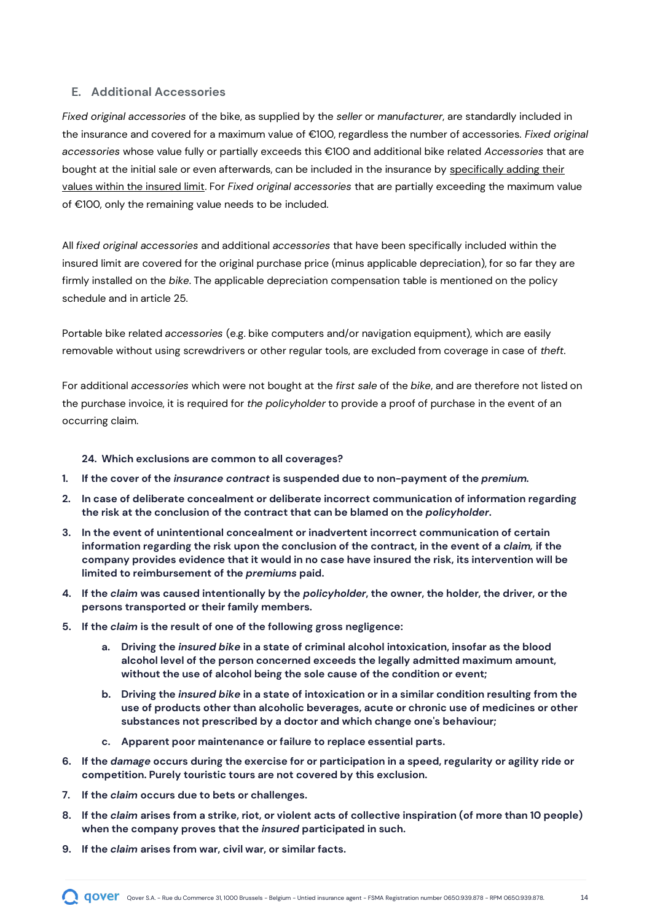#### **E. Additional Accessories**

*Fixed original accessories* of the bike, as supplied by the *seller* or *manufacturer*, are standardly included in the insurance and covered for a maximum value of €100, regardless the number of accessories. *Fixed original accessories* whose value fully or partially exceeds this €100 and additional bike related *Accessories* that are bought at the initial sale or even afterwards, can be included in the insurance by specifically adding their values within the insured limit. For *Fixed original accessories* that are partially exceeding the maximum value of €100, only the remaining value needs to be included.

All *fixed original accessories* and additional *accessories* that have been specifically included within the insured limit are covered for the original purchase price (minus applicable depreciation), for so far they are firmly installed on the *bike*. The applicable depreciation compensation table is mentioned on the policy schedule and in article 25.

Portable bike related *accessories* (e.g. bike computers and/or navigation equipment), which are easily removable without using screwdrivers or other regular tools, are excluded from coverage in case of *theft*.

For additional *accessories* which were not bought at the *first sale* of the *bike*, and are therefore not listed on the purchase invoice, it is required for *the policyholder* to provide a proof of purchase in the event of an occurring claim.

#### <span id="page-13-0"></span>**24. Which exclusions are common to all coverages?**

- **1. If the cover of the** *insurance contract* **is suspended due to non-payment of the** *premium.*
- **2. In case of deliberate concealment or deliberate incorrect communication of information regarding the risk at the conclusion of the contract that can be blamed on the** *policyholder***.**
- **3. In the event of unintentional concealment or inadvertent incorrect communication of certain information regarding the risk upon the conclusion of the contract, in the event of a** *claim,* **if the company provides evidence that it would in no case have insured the risk, its intervention will be limited to reimbursement of the** *premiums* **paid.**
- **4. If the** *claim* **was caused intentionally by the** *policyholder***, the owner, the holder, the driver, or the persons transported or their family members.**
- **5. If the** *claim* **is the result of one of the following gross negligence:**
	- **a. Driving the** *insured bike* **in a state of criminal alcohol intoxication, insofar as the blood alcohol level of the person concerned exceeds the legally admitted maximum amount, without the use of alcohol being the sole cause of the condition or event;**
	- **b. Driving the** *insured bike* **in a state of intoxication or in a similar condition resulting from the use of products other than alcoholic beverages, acute or chronic use of medicines or other substances not prescribed by a doctor and which change one's behaviour;**
	- **c. Apparent poor maintenance or failure to replace essential parts.**
- **6. If the** *damage* **occurs during the exercise for or participation in a speed, regularity or agility ride or competition. Purely touristic tours are not covered by this exclusion.**
- **7. If the** *claim* **occurs due to bets or challenges.**
- **8. If the** *claim* **arises from a strike, riot, or violent acts of collective inspiration (of more than 10 people) when the company proves that the** *insured* **participated in such.**
- **9. If the** *claim* **arises from war, civil war, or similar facts.**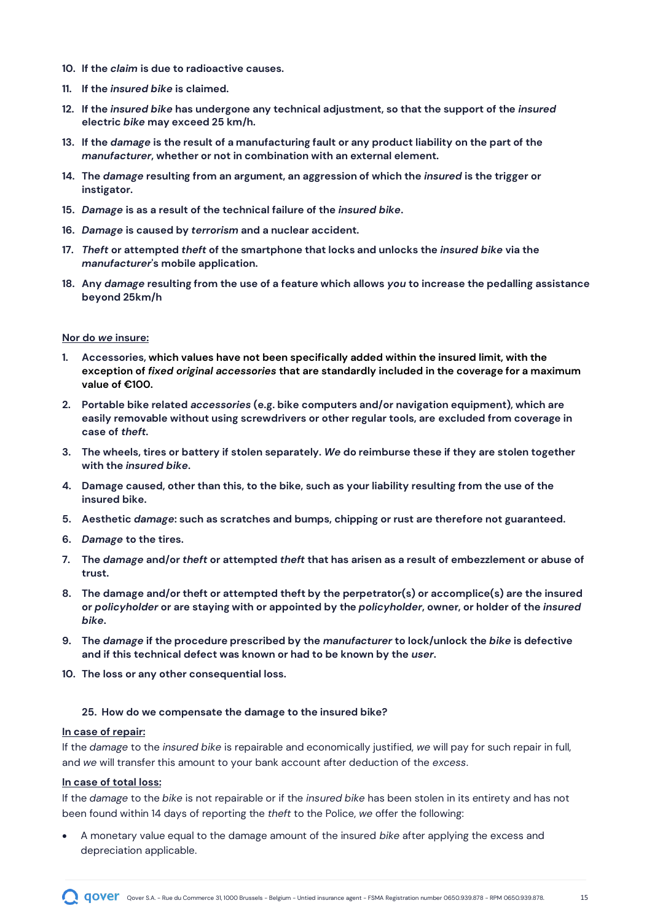- **10. If the** *claim* **is due to radioactive causes.**
- **11. If the** *insured bike* **is claimed.**
- **12. If the** *insured bike* **has undergone any technical adjustment, so that the support of the** *insured* **electric** *bike* **may exceed 25 km/h.**
- **13. If the** *damage* **is the result of a manufacturing fault or any product liability on the part of the**  *manufacturer***, whether or not in combination with an external element.**
- **14. The** *damage* **resulting from an argument, an aggression of which the** *insured* **is the trigger or instigator.**
- **15.** *Damage* **is as a result of the technical failure of the** *insured bike***.**
- **16.** *Damage* **is caused by** *terrorism* **and a nuclear accident.**
- **17.** *Theft* **or attempted** *theft* **of the smartphone that locks and unlocks the** *insured bike* **via the**  *manufacturer***'s mobile application.**
- **18. Any** *damage* **resulting from the use of a feature which allows** *you* **to increase the pedalling assistance beyond 25km/h**

#### **Nor do** *we* **insure:**

- **1. Accessories, which values have not been specifically added within the insured limit, with the exception of** *fixed original accessories* **that are standardly included in the coverage for a maximum value of €100.**
- **2. Portable bike related** *accessories* **(e.g. bike computers and/or navigation equipment), which are easily removable without using screwdrivers or other regular tools, are excluded from coverage in case of** *theft.*
- **3. The wheels, tires or battery if stolen separately.** *We* **do reimburse these if they are stolen together with the** *insured bike***.**
- **4. Damage caused, other than this, to the bike, such as your liability resulting from the use of the insured bike.**
- **5. Aesthetic** *damage***: such as scratches and bumps, chipping or rust are therefore not guaranteed.**
- **6.** *Damage* **to the tires.**
- **7. The** *damage* **and/or** *theft* **or attempted** *theft* **that has arisen as a result of embezzlement or abuse of trust.**
- **8. The damage and/or theft or attempted theft by the perpetrator(s) or accomplice(s) are the insured or** *policyholder* **or are staying with or appointed by the** *policyholder***, owner, or holder of the** *insured bike***.**
- **9. The** *damage* **if the procedure prescribed by the** *manufacturer* **to lock/unlock the** *bike* **is defective and if this technical defect was known or had to be known by the** *user***.**
- **10. The loss or any other consequential loss.**

#### <span id="page-14-0"></span>**25. How do we compensate the damage to the insured bike?**

#### **In case of repair:**

If the *damage* to the *insured bike* is repairable and economically justified, *we* will pay for such repair in full, and *we* will transfer this amount to your bank account after deduction of the *excess*.

#### **In case of total loss:**

If the *damage* to the *bike* is not repairable or if the *insured bike* has been stolen in its entirety and has not been found within 14 days of reporting the *theft* to the Police, *we* offer the following:

• A monetary value equal to the damage amount of the insured *bike* after applying the excess and depreciation applicable.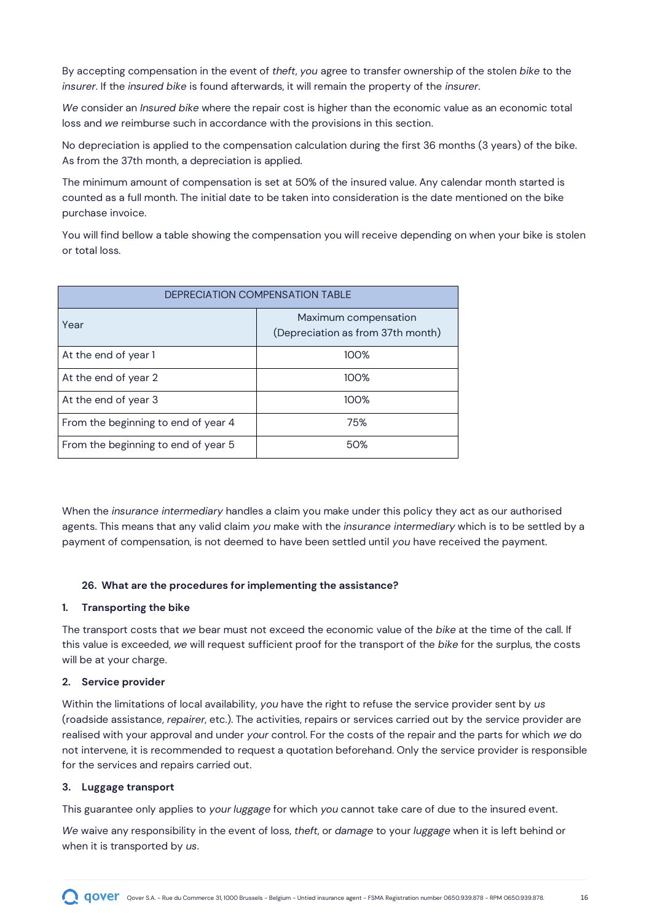By accepting compensation in the event of *theft*, *you* agree to transfer ownership of the stolen *bike* to the *insurer*. If the *insured bike* is found afterwards, it will remain the property of the *insurer*.

*We* consider an *Insured bike* where the repair cost is higher than the economic value as an economic total loss and *we* reimburse such in accordance with the provisions in this section.

No depreciation is applied to the compensation calculation during the first 36 months (3 years) of the bike. As from the 37th month, a depreciation is applied.

The minimum amount of compensation is set at 50% of the insured value. Any calendar month started is counted as a full month. The initial date to be taken into consideration is the date mentioned on the bike purchase invoice.

You will find bellow a table showing the compensation you will receive depending on when your bike is stolen or total loss.

| <b>DEPRECIATION COMPENSATION TABLE</b> |                                                           |  |  |
|----------------------------------------|-----------------------------------------------------------|--|--|
| Year                                   | Maximum compensation<br>(Depreciation as from 37th month) |  |  |
| At the end of year 1                   | 100%                                                      |  |  |
| At the end of year 2                   | 100%                                                      |  |  |
| At the end of year 3                   | 100%                                                      |  |  |
| From the beginning to end of year 4    | 75%                                                       |  |  |
| From the beginning to end of year 5    | 50%                                                       |  |  |

When the *insurance intermediary* handles a claim you make under this policy they act as our authorised agents. This means that any valid claim *you* make with the *insurance intermediary* which is to be settled by a payment of compensation, is not deemed to have been settled until *you* have received the payment.

#### <span id="page-15-0"></span>**26. What are the procedures for implementing the assistance?**

#### **1. Transporting the bike**

The transport costs that *we* bear must not exceed the economic value of the *bike* at the time of the call. If this value is exceeded, *we* will request sufficient proof for the transport of the *bike* for the surplus, the costs will be at your charge.

#### **2. Service provider**

Within the limitations of local availability, *you* have the right to refuse the service provider sent by *us* (roadside assistance, *repairer*, etc.). The activities, repairs or services carried out by the service provider are realised with your approval and under *your* control. For the costs of the repair and the parts for which *we* do not intervene, it is recommended to request a quotation beforehand. Only the service provider is responsible for the services and repairs carried out.

#### **3. Luggage transport**

This guarantee only applies to *your luggage* for which *you* cannot take care of due to the insured event.

*We* waive any responsibility in the event of loss, *theft*, or *damage* to your *luggage* when it is left behind or when it is transported by *us*.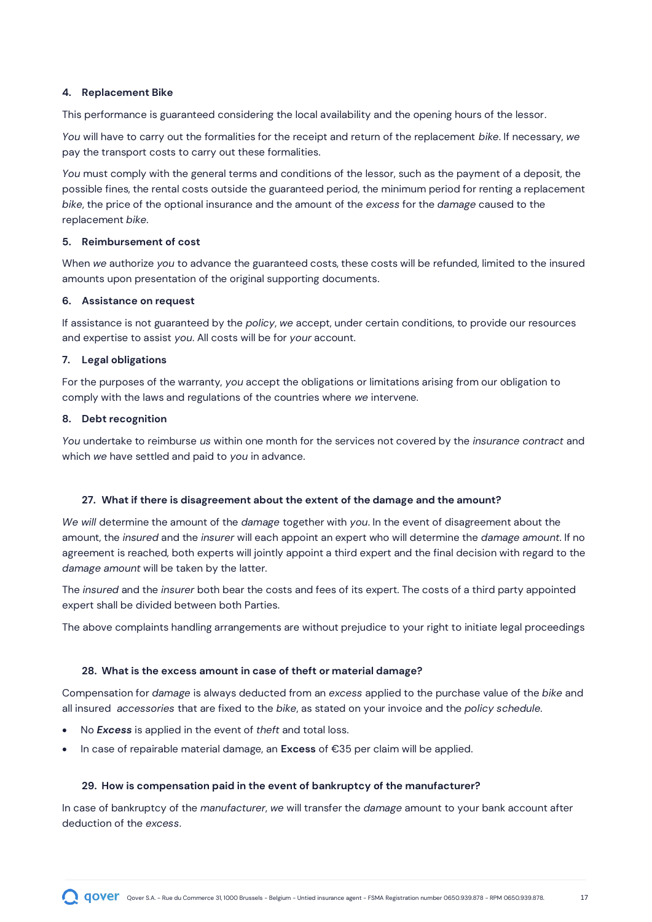#### **4. Replacement Bike**

This performance is guaranteed considering the local availability and the opening hours of the lessor.

*You* will have to carry out the formalities for the receipt and return of the replacement *bike*. If necessary, *we* pay the transport costs to carry out these formalities.

*You* must comply with the general terms and conditions of the lessor, such as the payment of a deposit, the possible fines, the rental costs outside the guaranteed period, the minimum period for renting a replacement *bike*, the price of the optional insurance and the amount of the *excess* for the *damage* caused to the replacement *bike*.

#### **5. Reimbursement of cost**

When *we* authorize *you* to advance the guaranteed costs, these costs will be refunded, limited to the insured amounts upon presentation of the original supporting documents.

#### **6. Assistance on request**

If assistance is not guaranteed by the *policy*, *we* accept, under certain conditions, to provide our resources and expertise to assist *you*. All costs will be for *your* account.

#### **7. Legal obligations**

For the purposes of the warranty, *you* accept the obligations or limitations arising from our obligation to comply with the laws and regulations of the countries where *we* intervene.

#### **8. Debt recognition**

*You* undertake to reimburse *us* within one month for the services not covered by the *insurance contract* and which *we* have settled and paid to *you* in advance.

#### <span id="page-16-0"></span>**27. What if there is disagreement about the extent of the damage and the amount?**

*We will* determine the amount of the *damage* together with *you*. In the event of disagreement about the amount, the *insured* and the *insurer* will each appoint an expert who will determine the *damage amount*. If no agreement is reached, both experts will jointly appoint a third expert and the final decision with regard to the *damage amount* will be taken by the latter.

The *insured* and the *insurer* both bear the costs and fees of its expert. The costs of a third party appointed expert shall be divided between both Parties.

The above complaints handling arrangements are without prejudice to your right to initiate legal proceedings

#### <span id="page-16-1"></span>**28. What is the excess amount in case of theft or material damage?**

Compensation for *damage* is always deducted from an *excess* applied to the purchase value of the *bike* and all insured *accessories* that are fixed to the *bike*, as stated on your invoice and the *policy schedule.*

- No *Excess* is applied in the event of *theft* and total loss.
- In case of repairable material damage, an **Excess** of €35 per claim will be applied.

#### <span id="page-16-2"></span>**29. How is compensation paid in the event of bankruptcy of the manufacturer?**

In case of bankruptcy of the *manufacturer*, *we* will transfer the *damage* amount to your bank account after deduction of the *excess*.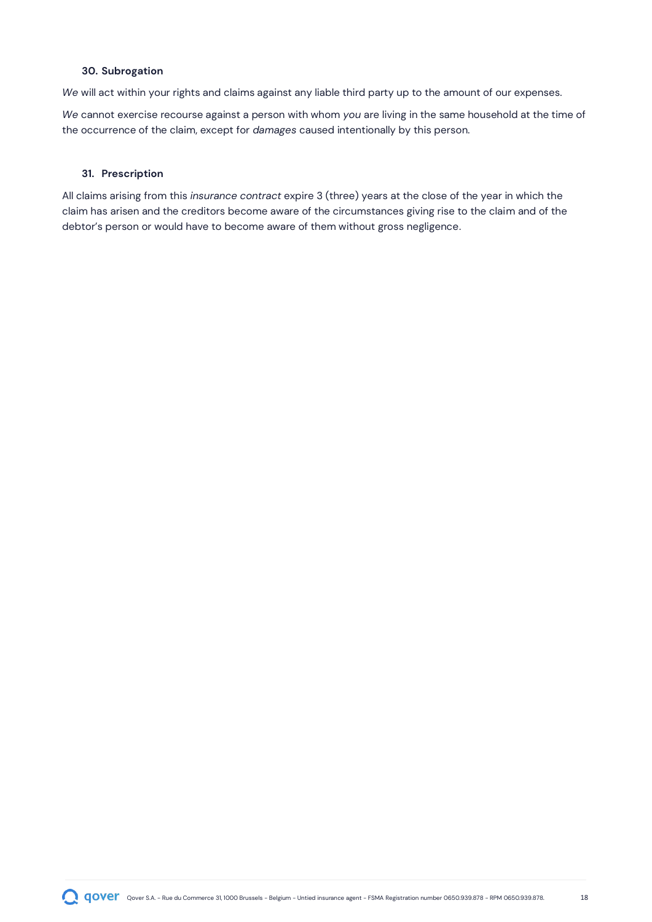#### <span id="page-17-0"></span>**30. Subrogation**

*We* will act within your rights and claims against any liable third party up to the amount of our expenses.

*We* cannot exercise recourse against a person with whom *you* are living in the same household at the time of the occurrence of the claim, except for *damages* caused intentionally by this person*.*

#### <span id="page-17-1"></span>**31. Prescription**

All claims arising from this *insurance contract* expire 3 (three) years at the close of the year in which the claim has arisen and the creditors become aware of the circumstances giving rise to the claim and of the debtor's person or would have to become aware of them without gross negligence.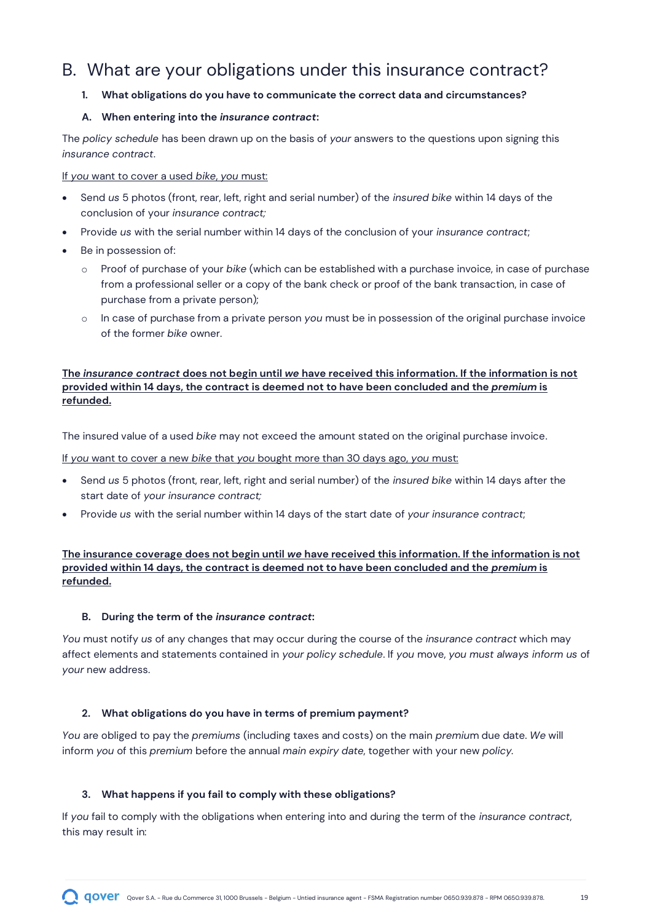### <span id="page-18-0"></span>B. What are your obligations under this insurance contract?

#### <span id="page-18-1"></span>**1. What obligations do you have to communicate the correct data and circumstances?**

#### **A. When entering into the** *insurance contract***:**

The *policy schedule* has been drawn up on the basis of *your* answers to the questions upon signing this *insurance contract*.

If *you* want to cover a used *bike*, *you* must:

- Send *us* 5 photos (front, rear, left, right and serial number) of the *insured bike* within 14 days of the conclusion of your *insurance contract;*
- Provide *us* with the serial number within 14 days of the conclusion of your *insurance contract*;
- Be in possession of:
	- o Proof of purchase of your *bike* (which can be established with a purchase invoice, in case of purchase from a professional seller or a copy of the bank check or proof of the bank transaction, in case of purchase from a private person);
	- o In case of purchase from a private person *you* must be in possession of the original purchase invoice of the former *bike* owner.

#### **The** *insurance contract* **does not begin until** *we* **have received this information. If the information is not provided within 14 days, the contract is deemed not to have been concluded and the** *premium* **is refunded.**

The insured value of a used *bike* may not exceed the amount stated on the original purchase invoice.

If *you* want to cover a new *bike* that *you* bought more than 30 days ago, *you* must:

- Send *us* 5 photos (front, rear, left, right and serial number) of the *insured bike* within 14 days after the start date of *your insurance contract;*
- Provide *us* with the serial number within 14 days of the start date of *your insurance contract*;

**The insurance coverage does not begin until** *we* **have received this information. If the information is not provided within 14 days, the contract is deemed not to have been concluded and the** *premium* **is refunded.**

#### **B. During the term of the** *insurance contract***:**

*You* must notify *us* of any changes that may occur during the course of the *insurance contract* which may affect elements and statements contained in *your policy schedule*. If *you* move, *you must always inform us* of *your* new address.

#### <span id="page-18-2"></span>**2. What obligations do you have in terms of premium payment?**

*You* are obliged to pay the *premiums* (including taxes and costs) on the main *premiu*m due date. *We* will inform *you* of this *premium* before the annual *main expiry date*, together with your new *policy.*

#### <span id="page-18-3"></span>**3. What happens if you fail to comply with these obligations?**

If *you* fail to comply with the obligations when entering into and during the term of the *insurance contract*, this may result in: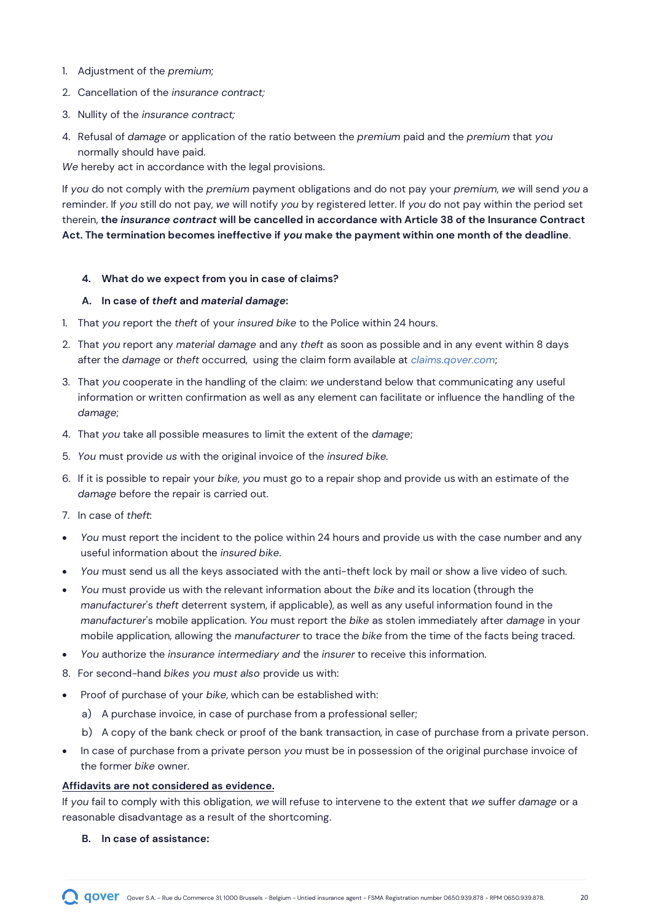- 1. Adjustment of the *premium*;
- 2. Cancellation of the *insurance contract;*
- 3. Nullity of the *insurance contract;*
- 4. Refusal of *damage* or application of the ratio between the *premium* paid and the *premium* that *you* normally should have paid.

*We* hereby act in accordance with the legal provisions.

If *you* do not comply with the *premium* payment obligations and do not pay your *premium*, *we* will send *you* a reminder. If *you* still do not pay, *we* will notify *you* by registered letter. If *you* do not pay within the period set therein, **the** *insurance contract* **will be cancelled in accordance with Article 38 of the Insurance Contract Act. The termination becomes ineffective if** *you* **make the payment within one month of the deadline**.

#### <span id="page-19-0"></span>**4. What do we expect from you in case of claims?**

#### **A. In case of** *theft* **and** *material damage***:**

- 1. That *you* report the *theft* of your *insured bike* to the Police within 24 hours.
- 2. That *you* report any *material damage* and any *theft* as soon as possible and in any event within 8 days after the *damage* or *theft* occurred, using the claim form available at *claims.qover.com*;
- 3. That *you* cooperate in the handling of the claim: *we* understand below that communicating any useful information or written confirmation as well as any element can facilitate or influence the handling of the *damage*;
- 4. That *you* take all possible measures to limit the extent of the *damage*;
- 5. *You* must provide *us* with the original invoice of the *insured bike.*
- 6. If it is possible to repair your *bike*, *you* must go to a repair shop and provide us with an estimate of the *damage* before the repair is carried out.
- 7. In case of *theft*:
- *You* must report the incident to the police within 24 hours and provide us with the case number and any useful information about the *insured bike*.
- *You* must send us all the keys associated with the anti-theft lock by mail or show a live video of such.
- *You* must provide us with the relevant information about the *bike* and its location (through the *manufacturer*'s *theft* deterrent system, if applicable), as well as any useful information found in the *manufacturer*'s mobile application. *You* must report the *bike* as stolen immediately after *damage* in your mobile application, allowing the *manufacturer* to trace the *bike* from the time of the facts being traced.
- *You* authorize the *insurance intermediary and* the *insurer* to receive this information.
- 8. For second-hand *bikes you must also* provide us with:
- Proof of purchase of your *bike*, which can be established with:
	- a) A purchase invoice, in case of purchase from a professional seller;
	- b) A copy of the bank check or proof of the bank transaction, in case of purchase from a private person.
- In case of purchase from a private person *you* must be in possession of the original purchase invoice of the former *bike* owner.

#### **Affidavits are not considered as evidence.**

If *you* fail to comply with this obligation, *we* will refuse to intervene to the extent that *we* suffer *damage* or a reasonable disadvantage as a result of the shortcoming.

**B. In case of assistance:**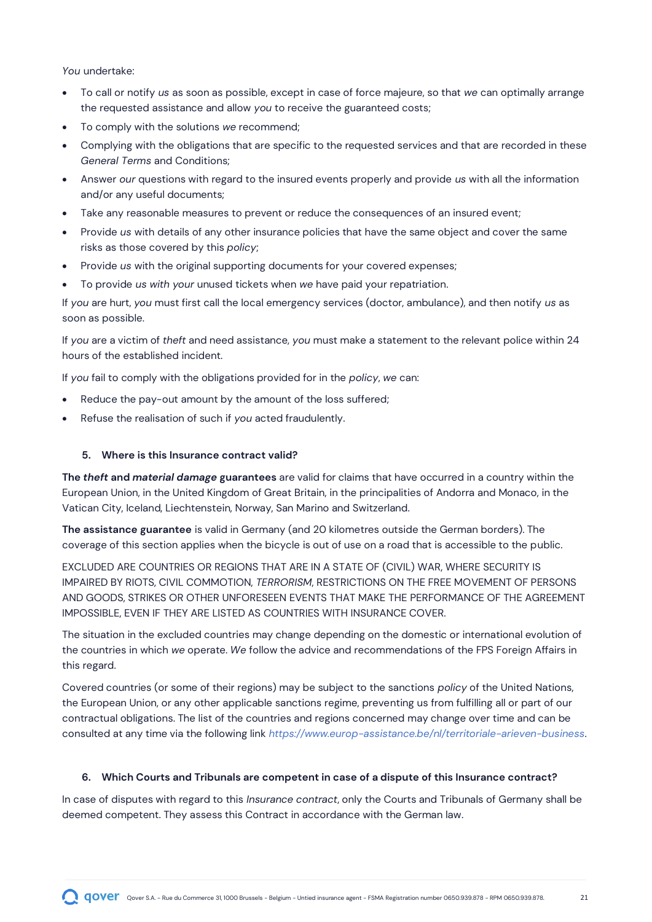*You* undertake:

- To call or notify *us* as soon as possible, except in case of force majeure, so that *we* can optimally arrange the requested assistance and allow *you* to receive the guaranteed costs;
- To comply with the solutions *we* recommend;
- Complying with the obligations that are specific to the requested services and that are recorded in these *General Terms* and Conditions;
- Answer *our* questions with regard to the insured events properly and provide *us* with all the information and/or any useful documents;
- Take any reasonable measures to prevent or reduce the consequences of an insured event;
- Provide *us* with details of any other insurance policies that have the same object and cover the same risks as those covered by this *policy*;
- Provide *us* with the original supporting documents for your covered expenses;
- To provide *us with your* unused tickets when *we* have paid your repatriation.

If *you* are hurt, *you* must first call the local emergency services (doctor, ambulance), and then notify *us* as soon as possible.

If *you* are a victim of *theft* and need assistance, *you* must make a statement to the relevant police within 24 hours of the established incident.

If *you* fail to comply with the obligations provided for in the *policy*, *we* can:

- Reduce the pay-out amount by the amount of the loss suffered;
- Refuse the realisation of such if *you* acted fraudulently.

#### <span id="page-20-0"></span>**5. Where is this Insurance contract valid?**

**The** *theft* **and** *material damage* **guarantees** are valid for claims that have occurred in a country within the European Union, in the United Kingdom of Great Britain, in the principalities of Andorra and Monaco, in the Vatican City, Iceland, Liechtenstein, Norway, San Marino and Switzerland.

**The assistance guarantee** is valid in Germany (and 20 kilometres outside the German borders). The coverage of this section applies when the bicycle is out of use on a road that is accessible to the public.

EXCLUDED ARE COUNTRIES OR REGIONS THAT ARE IN A STATE OF (CIVIL) WAR, WHERE SECURITY IS IMPAIRED BY RIOTS, CIVIL COMMOTION, *TERRORISM*, RESTRICTIONS ON THE FREE MOVEMENT OF PERSONS AND GOODS, STRIKES OR OTHER UNFORESEEN EVENTS THAT MAKE THE PERFORMANCE OF THE AGREEMENT IMPOSSIBLE, EVEN IF THEY ARE LISTED AS COUNTRIES WITH INSURANCE COVER.

The situation in the excluded countries may change depending on the domestic or international evolution of the countries in which *we* operate. *We* follow the advice and recommendations of the FPS Foreign Affairs in this regard.

Covered countries (or some of their regions) may be subject to the sanctions *policy* of the United Nations, the European Union, or any other applicable sanctions regime, preventing us from fulfilling all or part of our contractual obligations. The list of the countries and regions concerned may change over time and can be consulted at any time via the following link *https://www.europ-assistance.be/nl/territoriale-arieven-business*.

#### <span id="page-20-1"></span>**6. Which Courts and Tribunals are competent in case of a dispute of this Insurance contract?**

In case of disputes with regard to this *Insurance contract*, only the Courts and Tribunals of Germany shall be deemed competent. They assess this Contract in accordance with the German law.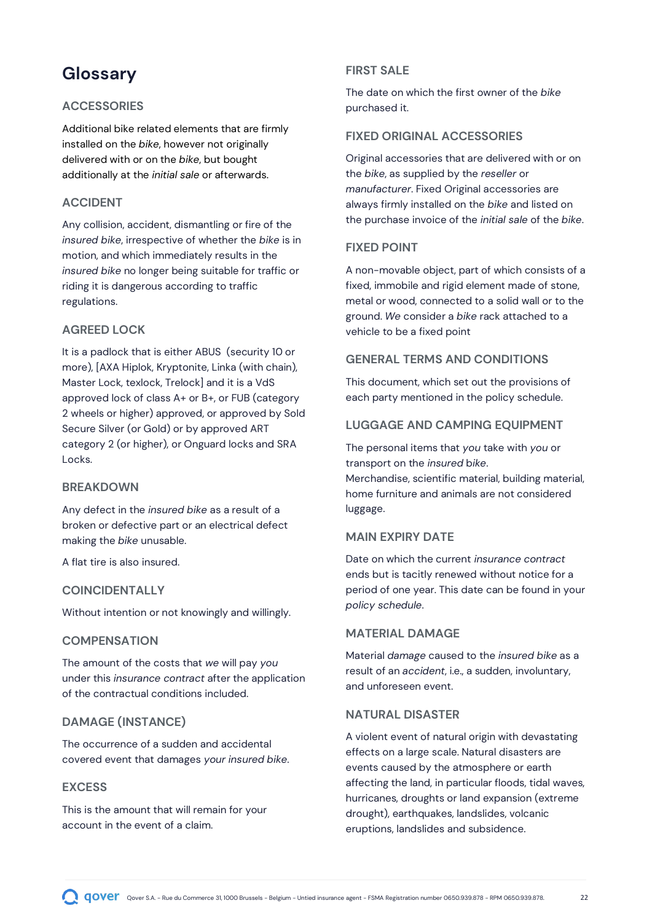### <span id="page-21-0"></span>**Glossary**

#### **ACCESSORIES**

Additional bike related elements that are firmly installed on the *bike*, however not originally delivered with or on the *bike*, but bought additionally at the *initial sale* or afterwards.

#### **ACCIDENT**

Any collision, accident, dismantling or fire of the *insured bike*, irrespective of whether the *bike* is in motion, and which immediately results in the *insured bike* no longer being suitable for traffic or riding it is dangerous according to traffic regulations.

#### **AGREED LOCK**

It is a padlock that is either ABUS (security 10 or more), [AXA Hiplok, Kryptonite, Linka (with chain), Master Lock, texlock, Trelock] and it is a VdS approved lock of class A+ or B+, or FUB (category 2 wheels or higher) approved, or approved by Sold Secure Silver (or Gold) or by approved ART category 2 (or higher), or Onguard locks and SRA Locks.

#### **BREAKDOWN**

Any defect in the *insured bike* as a result of a broken or defective part or an electrical defect making the *bike* unusable.

A flat tire is also insured.

#### **COINCIDENTALLY**

Without intention or not knowingly and willingly.

#### **COMPENSATION**

The amount of the costs that *we* will pay *you* under this *insurance contract* after the application of the contractual conditions included.

#### **DAMAGE (INSTANCE)**

The occurrence of a sudden and accidental covered event that damages *your insured bike*.

#### **EXCESS**

This is the amount that will remain for your account in the event of a claim.

#### **FIRST SALE**

The date on which the first owner of the *bike* purchased it.

#### **FIXED ORIGINAL ACCESSORIES**

Original accessories that are delivered with or on the *bike*, as supplied by the *reseller* or *manufacturer*. Fixed Original accessories are always firmly installed on the *bike* and listed on the purchase invoice of the *initial sale* of the *bike*.

#### **FIXED POINT**

A non-movable object, part of which consists of a fixed, immobile and rigid element made of stone, metal or wood, connected to a solid wall or to the ground. *We* consider a *bike* rack attached to a vehicle to be a fixed point

#### **GENERAL TERMS AND CONDITIONS**

This document, which set out the provisions of each party mentioned in the policy schedule.

#### **LUGGAGE AND CAMPING EQUIPMENT**

The personal items that *you* take with *you* or transport on the *insured* b*ike*. Merchandise, scientific material, building material, home furniture and animals are not considered luggage.

#### **MAIN EXPIRY DATE**

Date on which the current *insurance contract* ends but is tacitly renewed without notice for a period of one year. This date can be found in your *policy schedule*.

#### **MATERIAL DAMAGE**

Material *damage* caused to the *insured bike* as a result of an *accident*, i.e., a sudden, involuntary, and unforeseen event.

#### **NATURAL DISASTER**

A violent event of natural origin with devastating effects on a large scale. Natural disasters are events caused by the atmosphere or earth affecting the land, in particular floods, tidal waves, hurricanes, droughts or land expansion (extreme drought), earthquakes, landslides, volcanic eruptions, landslides and subsidence.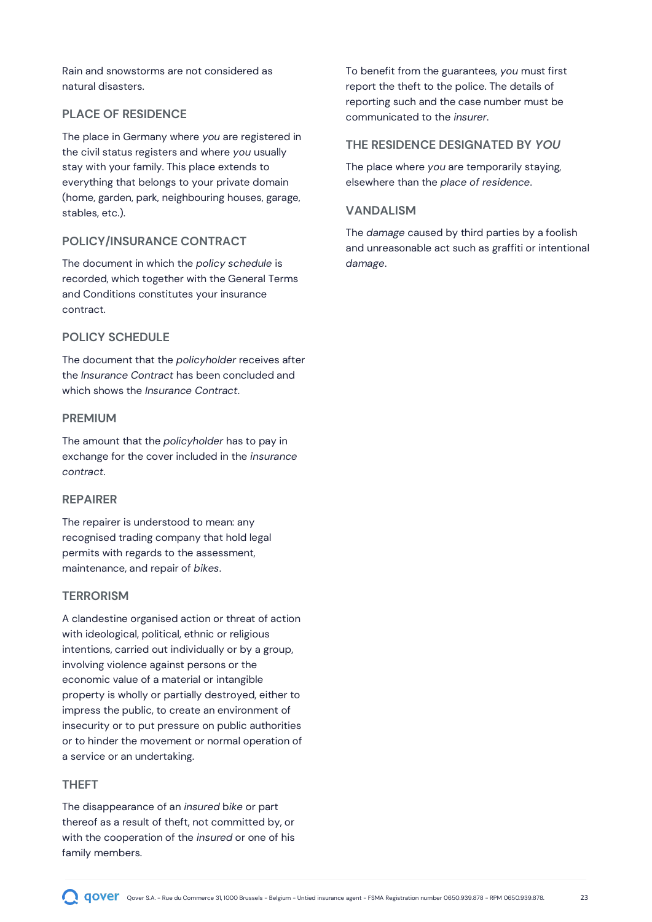Rain and snowstorms are not considered as natural disasters.

#### **PLACE OF RESIDENCE**

The place in Germany where *you* are registered in the civil status registers and where *you* usually stay with your family. This place extends to everything that belongs to your private domain (home, garden, park, neighbouring houses, garage, stables, etc.).

#### **POLICY/INSURANCE CONTRACT**

The document in which the *policy schedule* is recorded, which together with the General Terms and Conditions constitutes your insurance contract.

#### **POLICY SCHEDULE**

The document that the *policyholder* receives after the *Insurance Contract* has been concluded and which shows the *Insurance Contract*.

#### **PREMIUM**

The amount that the *policyholder* has to pay in exchange for the cover included in the *insurance contract*.

#### **REPAIRER**

The repairer is understood to mean: any recognised trading company that hold legal permits with regards to the assessment, maintenance, and repair of *bikes*.

#### **TERRORISM**

A clandestine organised action or threat of action with ideological, political, ethnic or religious intentions, carried out individually or by a group, involving violence against persons or the economic value of a material or intangible property is wholly or partially destroyed, either to impress the public, to create an environment of insecurity or to put pressure on public authorities or to hinder the movement or normal operation of a service or an undertaking.

#### **THEFT**

The disappearance of an *insured* b*ike* or part thereof as a result of theft, not committed by, or with the cooperation of the *insured* or one of his family members.

To benefit from the guarantees, *you* must first report the theft to the police. The details of reporting such and the case number must be communicated to the *insurer*.

#### **THE RESIDENCE DESIGNATED BY** *YOU*

The place where *you* are temporarily staying, elsewhere than the *place of residence*.

#### **VANDALISM**

The *damage* caused by third parties by a foolish and unreasonable act such as graffiti or intentional *damage*.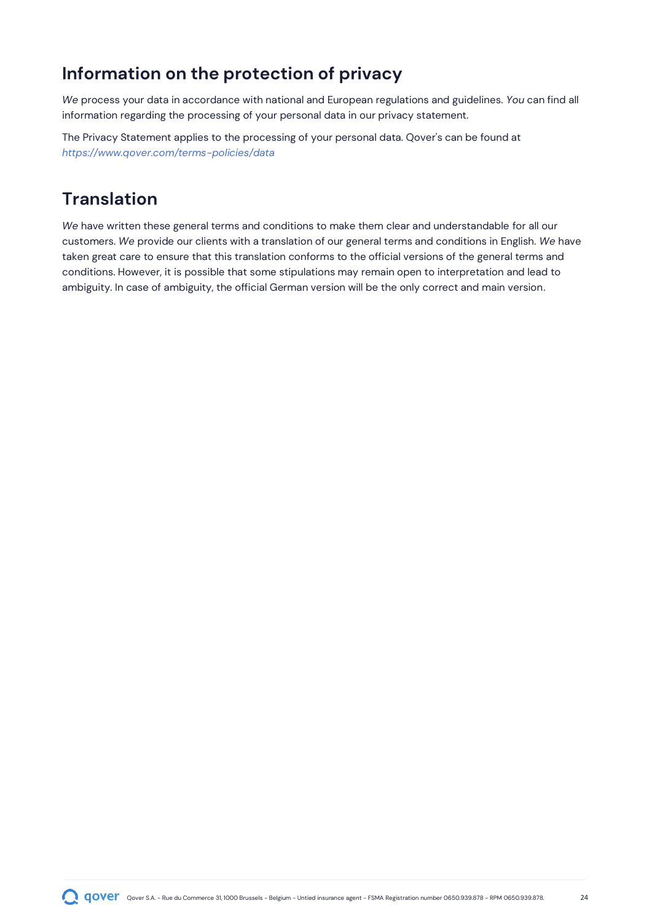### <span id="page-23-0"></span>**Information on the protection of privacy**

*We* process your data in accordance with national and European regulations and guidelines. *You* can find all information regarding the processing of your personal data in our privacy statement.

The Privacy Statement applies to the processing of your personal data. Qover's can be found at *<https://www.qover.com/terms-policies/data>*

### <span id="page-23-1"></span>**Translation**

*We* have written these general terms and conditions to make them clear and understandable for all our customers. *We* provide our clients with a translation of our general terms and conditions in English. *We* have taken great care to ensure that this translation conforms to the official versions of the general terms and conditions. However, it is possible that some stipulations may remain open to interpretation and lead to ambiguity. In case of ambiguity, the official German version will be the only correct and main version.